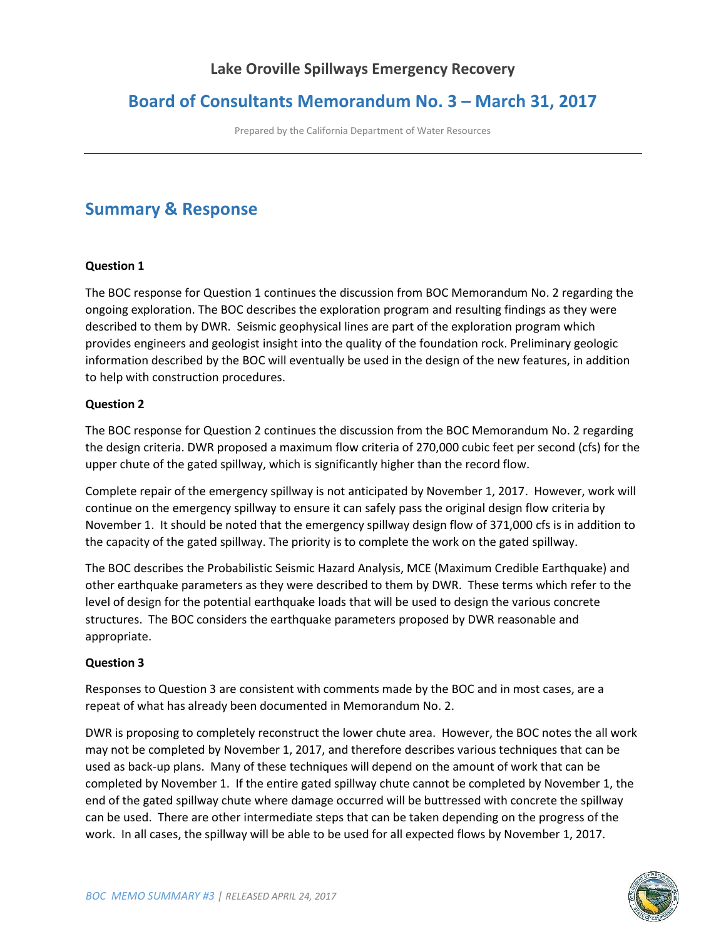# **Lake Oroville Spillways Emergency Recovery**

# **Board of Consultants Memorandum No. 3 – March 31, 2017**

Prepared by the California Department of Water Resources

# **Summary & Response**

#### **Question 1**

The BOC response for Question 1 continues the discussion from BOC Memorandum No. 2 regarding the ongoing exploration. The BOC describes the exploration program and resulting findings as they were described to them by DWR. Seismic geophysical lines are part of the exploration program which provides engineers and geologist insight into the quality of the foundation rock. Preliminary geologic information described by the BOC will eventually be used in the design of the new features, in addition to help with construction procedures.

#### **Question 2**

The BOC response for Question 2 continues the discussion from the BOC Memorandum No. 2 regarding the design criteria. DWR proposed a maximum flow criteria of 270,000 cubic feet per second (cfs) for the upper chute of the gated spillway, which is significantly higher than the record flow.

Complete repair of the emergency spillway is not anticipated by November 1, 2017. However, work will continue on the emergency spillway to ensure it can safely pass the original design flow criteria by November 1. It should be noted that the emergency spillway design flow of 371,000 cfs is in addition to the capacity of the gated spillway. The priority is to complete the work on the gated spillway.

The BOC describes the Probabilistic Seismic Hazard Analysis, MCE (Maximum Credible Earthquake) and other earthquake parameters as they were described to them by DWR. These terms which refer to the level of design for the potential earthquake loads that will be used to design the various concrete structures. The BOC considers the earthquake parameters proposed by DWR reasonable and appropriate.

#### **Question 3**

Responses to Question 3 are consistent with comments made by the BOC and in most cases, are a repeat of what has already been documented in Memorandum No. 2.

DWR is proposing to completely reconstruct the lower chute area. However, the BOC notes the all work may not be completed by November 1, 2017, and therefore describes various techniques that can be used as back-up plans. Many of these techniques will depend on the amount of work that can be completed by November 1. If the entire gated spillway chute cannot be completed by November 1, the end of the gated spillway chute where damage occurred will be buttressed with concrete the spillway can be used. There are other intermediate steps that can be taken depending on the progress of the work. In all cases, the spillway will be able to be used for all expected flows by November 1, 2017.

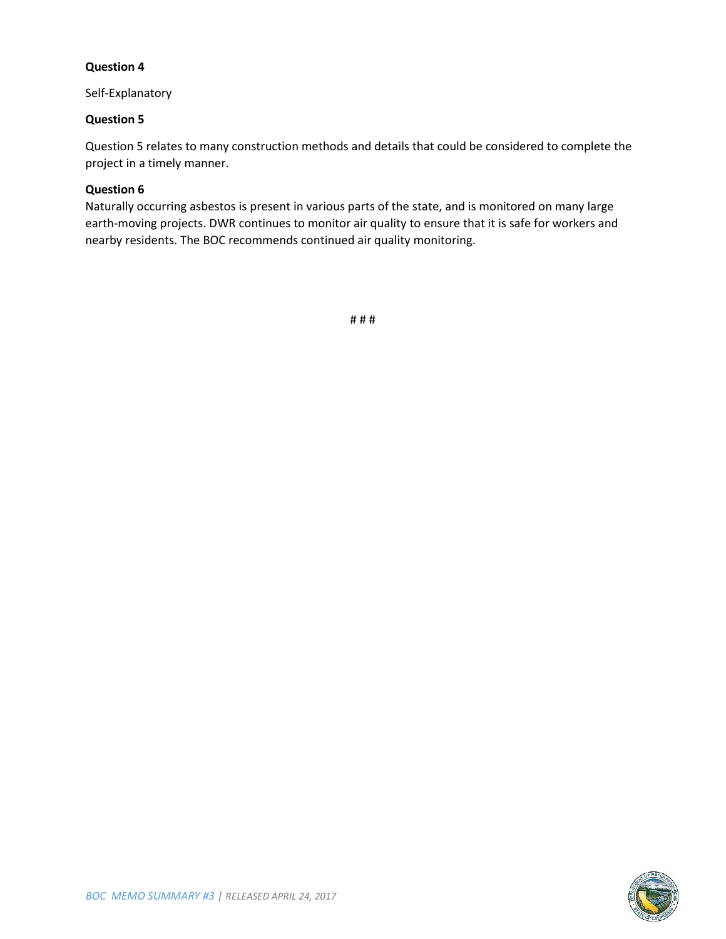#### **Question 4**

Self-Explanatory

#### **Question 5**

Question 5 relates to many construction methods and details that could be considered to complete the project in a timely manner.

#### **Question 6**

Naturally occurring asbestos is present in various parts of the state, and is monitored on many large earth-moving projects. DWR continues to monitor air quality to ensure that it is safe for workers and nearby residents. The BOC recommends continued air quality monitoring.

# # #

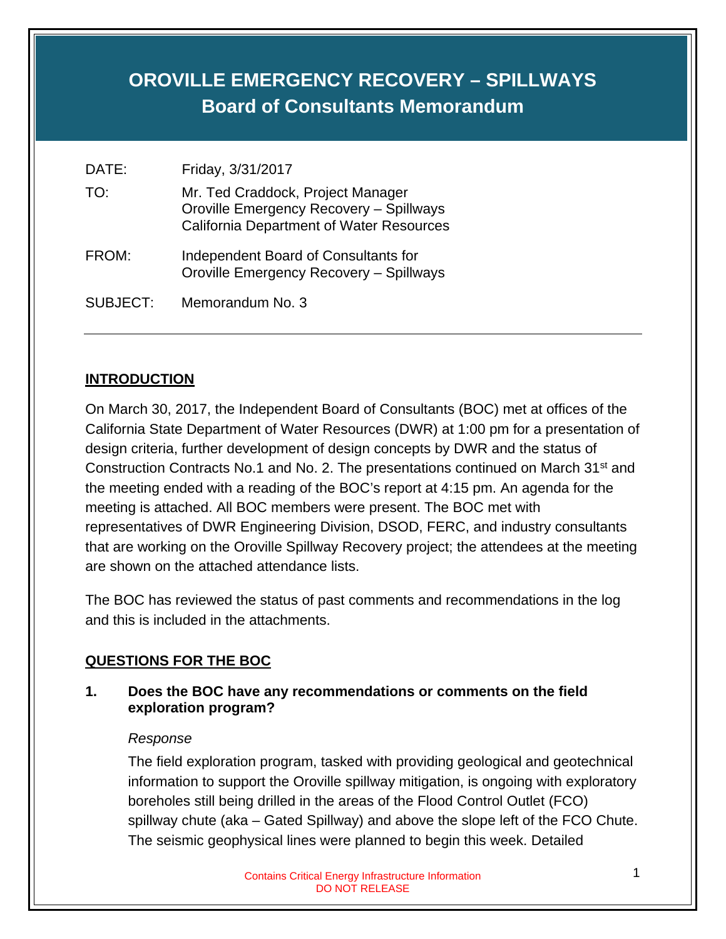# **OROVILLE EMERGENCY RECOVERY – SPILLWAYS Board of Consultants Memorandum**

| DATE:           | Friday, 3/31/2017                                                                                                               |
|-----------------|---------------------------------------------------------------------------------------------------------------------------------|
| TO:             | Mr. Ted Craddock, Project Manager<br>Oroville Emergency Recovery - Spillways<br><b>California Department of Water Resources</b> |
| FROM:           | Independent Board of Consultants for<br>Oroville Emergency Recovery - Spillways                                                 |
| <b>SUBJECT:</b> | Memorandum No. 3                                                                                                                |

# **INTRODUCTION**

On March 30, 2017, the Independent Board of Consultants (BOC) met at offices of the California State Department of Water Resources (DWR) at 1:00 pm for a presentation of design criteria, further development of design concepts by DWR and the status of Construction Contracts No.1 and No. 2. The presentations continued on March 31<sup>st</sup> and the meeting ended with a reading of the BOC's report at 4:15 pm. An agenda for the meeting is attached. All BOC members were present. The BOC met with representatives of DWR Engineering Division, DSOD, FERC, and industry consultants that are working on the Oroville Spillway Recovery project; the attendees at the meeting are shown on the attached attendance lists.

The BOC has reviewed the status of past comments and recommendations in the log and this is included in the attachments.

# **QUESTIONS FOR THE BOC**

# **1. Does the BOC have any recommendations or comments on the field exploration program?**

#### *Response*

The field exploration program, tasked with providing geological and geotechnical information to support the Oroville spillway mitigation, is ongoing with exploratory boreholes still being drilled in the areas of the Flood Control Outlet (FCO) spillway chute (aka – Gated Spillway) and above the slope left of the FCO Chute. The seismic geophysical lines were planned to begin this week. Detailed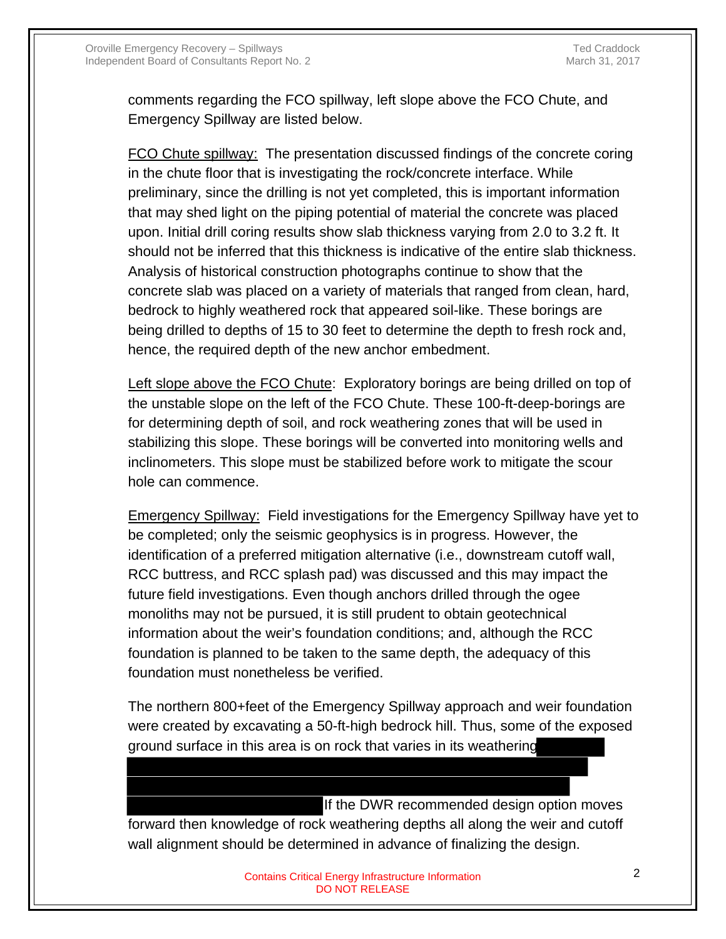comments regarding the FCO spillway, left slope above the FCO Chute, and Emergency Spillway are listed below.

FCO Chute spillway: The presentation discussed findings of the concrete coring in the chute floor that is investigating the rock/concrete interface. While preliminary, since the drilling is not yet completed, this is important information that may shed light on the piping potential of material the concrete was placed upon. Initial drill coring results show slab thickness varying from 2.0 to 3.2 ft. It should not be inferred that this thickness is indicative of the entire slab thickness. Analysis of historical construction photographs continue to show that the concrete slab was placed on a variety of materials that ranged from clean, hard, bedrock to highly weathered rock that appeared soil-like. These borings are being drilled to depths of 15 to 30 feet to determine the depth to fresh rock and, hence, the required depth of the new anchor embedment.

Left slope above the FCO Chute: Exploratory borings are being drilled on top of the unstable slope on the left of the FCO Chute. These 100-ft-deep-borings are for determining depth of soil, and rock weathering zones that will be used in stabilizing this slope. These borings will be converted into monitoring wells and inclinometers. This slope must be stabilized before work to mitigate the scour hole can commence.

Emergency Spillway: Field investigations for the Emergency Spillway have yet to be completed; only the seismic geophysics is in progress. However, the identification of a preferred mitigation alternative (i.e., downstream cutoff wall, RCC buttress, and RCC splash pad) was discussed and this may impact the future field investigations. Even though anchors drilled through the ogee monoliths may not be pursued, it is still prudent to obtain geotechnical information about the weir's foundation conditions; and, although the RCC foundation is planned to be taken to the same depth, the adequacy of this foundation must nonetheless be verified.

The northern 800+feet of the Emergency Spillway approach and weir foundation were created by excavating a 50-ft-high bedrock hill. Thus, some of the exposed ground surface in this area is on rock that varies in its weathering

If the DWR recommended design option moves forward then knowledge of rock weathering depths all along the weir and cutoff wall alignment should be determined in advance of finalizing the design.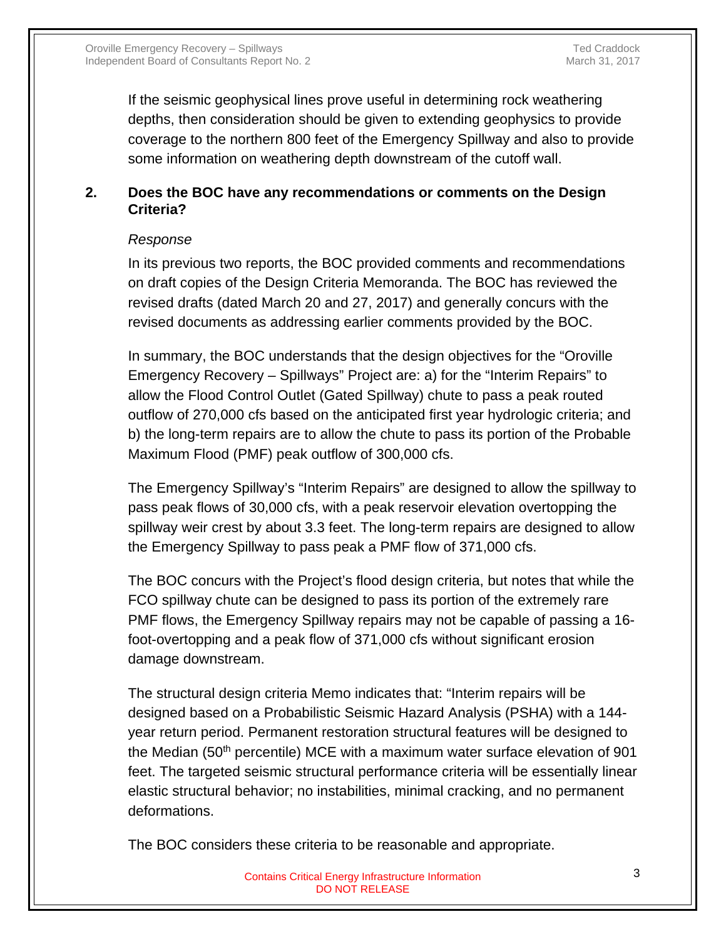If the seismic geophysical lines prove useful in determining rock weathering depths, then consideration should be given to extending geophysics to provide coverage to the northern 800 feet of the Emergency Spillway and also to provide some information on weathering depth downstream of the cutoff wall.

# **2. Does the BOC have any recommendations or comments on the Design Criteria?**

#### *Response*

In its previous two reports, the BOC provided comments and recommendations on draft copies of the Design Criteria Memoranda. The BOC has reviewed the revised drafts (dated March 20 and 27, 2017) and generally concurs with the revised documents as addressing earlier comments provided by the BOC.

In summary, the BOC understands that the design objectives for the "Oroville Emergency Recovery – Spillways" Project are: a) for the "Interim Repairs" to allow the Flood Control Outlet (Gated Spillway) chute to pass a peak routed outflow of 270,000 cfs based on the anticipated first year hydrologic criteria; and b) the long-term repairs are to allow the chute to pass its portion of the Probable Maximum Flood (PMF) peak outflow of 300,000 cfs.

The Emergency Spillway's "Interim Repairs" are designed to allow the spillway to pass peak flows of 30,000 cfs, with a peak reservoir elevation overtopping the spillway weir crest by about 3.3 feet. The long-term repairs are designed to allow the Emergency Spillway to pass peak a PMF flow of 371,000 cfs.

The BOC concurs with the Project's flood design criteria, but notes that while the FCO spillway chute can be designed to pass its portion of the extremely rare PMF flows, the Emergency Spillway repairs may not be capable of passing a 16 foot-overtopping and a peak flow of 371,000 cfs without significant erosion damage downstream.

The structural design criteria Memo indicates that: "Interim repairs will be designed based on a Probabilistic Seismic Hazard Analysis (PSHA) with a 144 year return period. Permanent restoration structural features will be designed to the Median (50th percentile) MCE with a maximum water surface elevation of 901 feet. The targeted seismic structural performance criteria will be essentially linear elastic structural behavior; no instabilities, minimal cracking, and no permanent deformations.

The BOC considers these criteria to be reasonable and appropriate.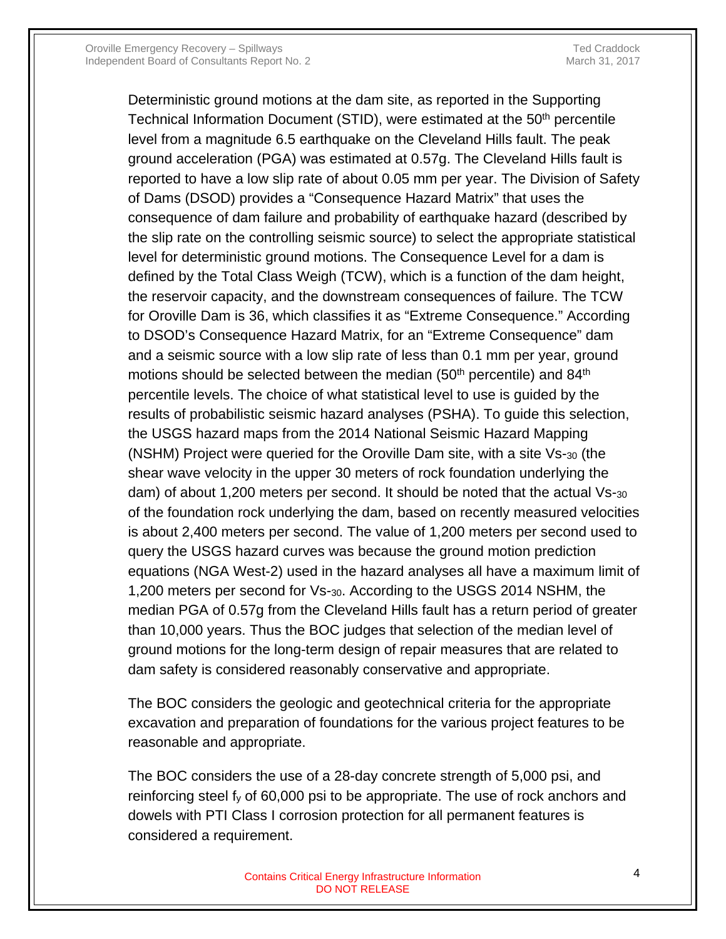Deterministic ground motions at the dam site, as reported in the Supporting Technical Information Document (STID), were estimated at the 50<sup>th</sup> percentile level from a magnitude 6.5 earthquake on the Cleveland Hills fault. The peak ground acceleration (PGA) was estimated at 0.57g. The Cleveland Hills fault is reported to have a low slip rate of about 0.05 mm per year. The Division of Safety of Dams (DSOD) provides a "Consequence Hazard Matrix" that uses the consequence of dam failure and probability of earthquake hazard (described by the slip rate on the controlling seismic source) to select the appropriate statistical level for deterministic ground motions. The Consequence Level for a dam is defined by the Total Class Weigh (TCW), which is a function of the dam height, the reservoir capacity, and the downstream consequences of failure. The TCW for Oroville Dam is 36, which classifies it as "Extreme Consequence." According to DSOD's Consequence Hazard Matrix, for an "Extreme Consequence" dam and a seismic source with a low slip rate of less than 0.1 mm per year, ground motions should be selected between the median  $(50<sup>th</sup>$  percentile) and  $84<sup>th</sup>$ percentile levels. The choice of what statistical level to use is guided by the results of probabilistic seismic hazard analyses (PSHA). To guide this selection, the USGS hazard maps from the 2014 National Seismic Hazard Mapping (NSHM) Project were queried for the Oroville Dam site, with a site Vs-30 (the shear wave velocity in the upper 30 meters of rock foundation underlying the dam) of about 1,200 meters per second. It should be noted that the actual Vs-30 of the foundation rock underlying the dam, based on recently measured velocities is about 2,400 meters per second. The value of 1,200 meters per second used to query the USGS hazard curves was because the ground motion prediction equations (NGA West-2) used in the hazard analyses all have a maximum limit of 1,200 meters per second for Vs-30. According to the USGS 2014 NSHM, the median PGA of 0.57g from the Cleveland Hills fault has a return period of greater than 10,000 years. Thus the BOC judges that selection of the median level of ground motions for the long-term design of repair measures that are related to dam safety is considered reasonably conservative and appropriate.

The BOC considers the geologic and geotechnical criteria for the appropriate excavation and preparation of foundations for the various project features to be reasonable and appropriate.

The BOC considers the use of a 28-day concrete strength of 5,000 psi, and reinforcing steel f<sub>y</sub> of 60,000 psi to be appropriate. The use of rock anchors and dowels with PTI Class I corrosion protection for all permanent features is considered a requirement.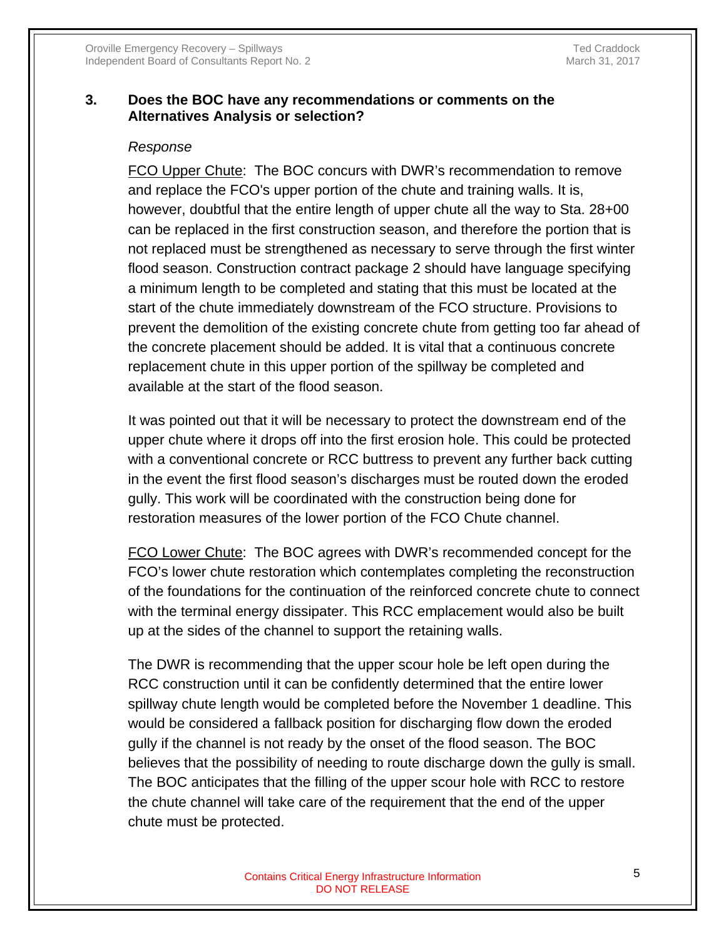#### **3. Does the BOC have any recommendations or comments on the Alternatives Analysis or selection?**

#### *Response*

FCO Upper Chute: The BOC concurs with DWR's recommendation to remove and replace the FCO's upper portion of the chute and training walls. It is, however, doubtful that the entire length of upper chute all the way to Sta. 28+00 can be replaced in the first construction season, and therefore the portion that is not replaced must be strengthened as necessary to serve through the first winter flood season. Construction contract package 2 should have language specifying a minimum length to be completed and stating that this must be located at the start of the chute immediately downstream of the FCO structure. Provisions to prevent the demolition of the existing concrete chute from getting too far ahead of the concrete placement should be added. It is vital that a continuous concrete replacement chute in this upper portion of the spillway be completed and available at the start of the flood season.

It was pointed out that it will be necessary to protect the downstream end of the upper chute where it drops off into the first erosion hole. This could be protected with a conventional concrete or RCC buttress to prevent any further back cutting in the event the first flood season's discharges must be routed down the eroded gully. This work will be coordinated with the construction being done for restoration measures of the lower portion of the FCO Chute channel.

FCO Lower Chute: The BOC agrees with DWR's recommended concept for the FCO's lower chute restoration which contemplates completing the reconstruction of the foundations for the continuation of the reinforced concrete chute to connect with the terminal energy dissipater. This RCC emplacement would also be built up at the sides of the channel to support the retaining walls.

The DWR is recommending that the upper scour hole be left open during the RCC construction until it can be confidently determined that the entire lower spillway chute length would be completed before the November 1 deadline. This would be considered a fallback position for discharging flow down the eroded gully if the channel is not ready by the onset of the flood season. The BOC believes that the possibility of needing to route discharge down the gully is small. The BOC anticipates that the filling of the upper scour hole with RCC to restore the chute channel will take care of the requirement that the end of the upper chute must be protected.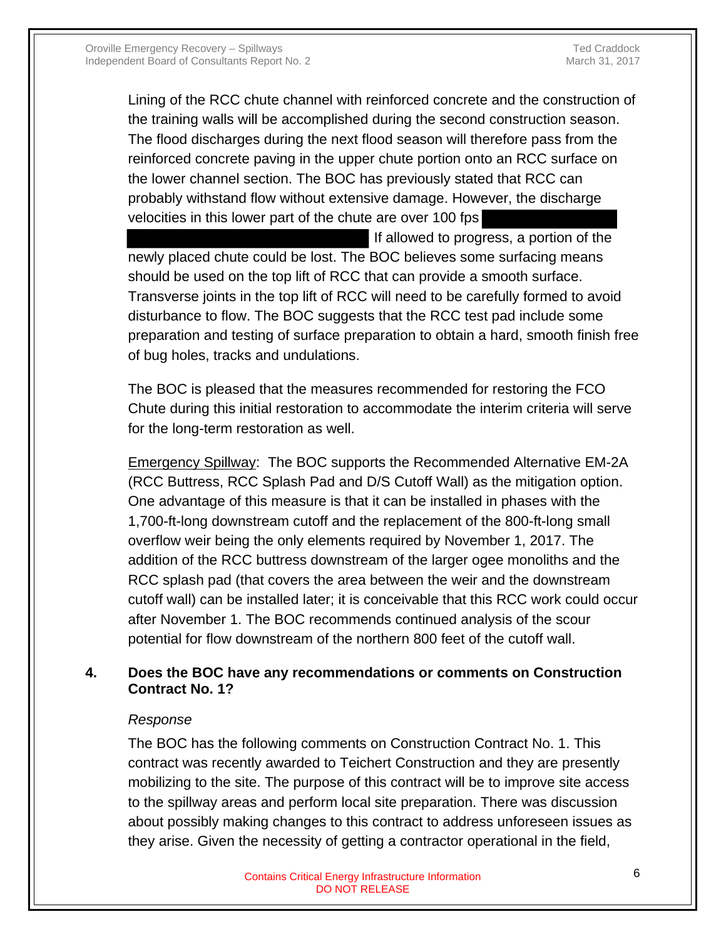Lining of the RCC chute channel with reinforced concrete and the construction of the training walls will be accomplished during the second construction season. The flood discharges during the next flood season will therefore pass from the reinforced concrete paving in the upper chute portion onto an RCC surface on the lower channel section. The BOC has previously stated that RCC can probably withstand flow without extensive damage. However, the discharge velocities in this lower part of the chute are over 100 fps

 If allowed to progress, a portion of the newly placed chute could be lost. The BOC believes some surfacing means should be used on the top lift of RCC that can provide a smooth surface. Transverse joints in the top lift of RCC will need to be carefully formed to avoid disturbance to flow. The BOC suggests that the RCC test pad include some preparation and testing of surface preparation to obtain a hard, smooth finish free of bug holes, tracks and undulations.

The BOC is pleased that the measures recommended for restoring the FCO Chute during this initial restoration to accommodate the interim criteria will serve for the long-term restoration as well.

Emergency Spillway: The BOC supports the Recommended Alternative EM-2A (RCC Buttress, RCC Splash Pad and D/S Cutoff Wall) as the mitigation option. One advantage of this measure is that it can be installed in phases with the 1,700-ft-long downstream cutoff and the replacement of the 800-ft-long small overflow weir being the only elements required by November 1, 2017. The addition of the RCC buttress downstream of the larger ogee monoliths and the RCC splash pad (that covers the area between the weir and the downstream cutoff wall) can be installed later; it is conceivable that this RCC work could occur after November 1. The BOC recommends continued analysis of the scour potential for flow downstream of the northern 800 feet of the cutoff wall.

# **4. Does the BOC have any recommendations or comments on Construction Contract No. 1?**

#### *Response*

The BOC has the following comments on Construction Contract No. 1. This contract was recently awarded to Teichert Construction and they are presently mobilizing to the site. The purpose of this contract will be to improve site access to the spillway areas and perform local site preparation. There was discussion about possibly making changes to this contract to address unforeseen issues as they arise. Given the necessity of getting a contractor operational in the field,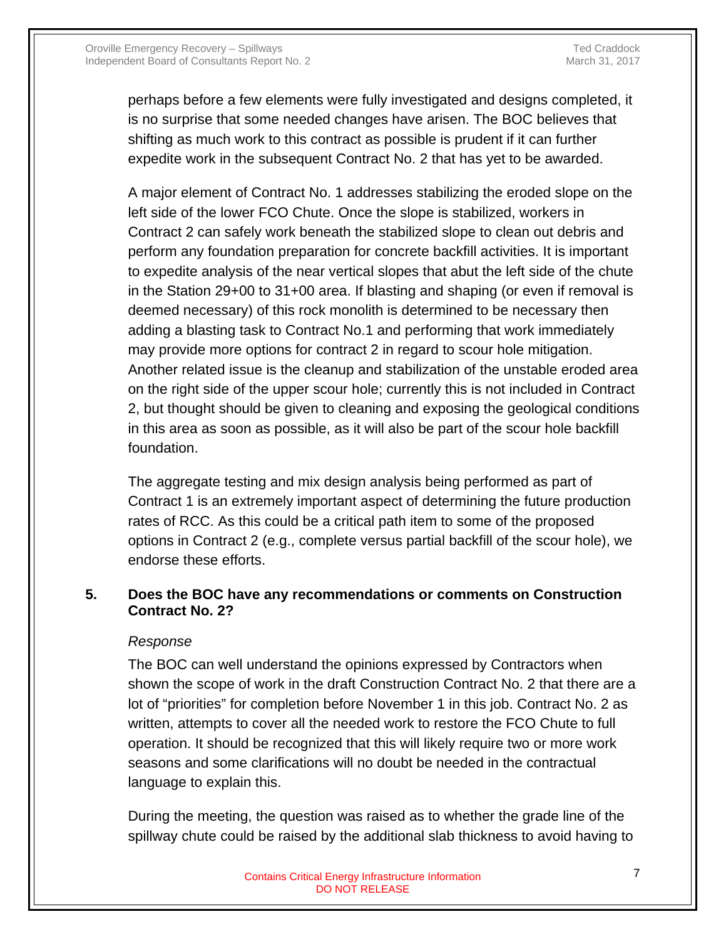perhaps before a few elements were fully investigated and designs completed, it is no surprise that some needed changes have arisen. The BOC believes that shifting as much work to this contract as possible is prudent if it can further expedite work in the subsequent Contract No. 2 that has yet to be awarded.

A major element of Contract No. 1 addresses stabilizing the eroded slope on the left side of the lower FCO Chute. Once the slope is stabilized, workers in Contract 2 can safely work beneath the stabilized slope to clean out debris and perform any foundation preparation for concrete backfill activities. It is important to expedite analysis of the near vertical slopes that abut the left side of the chute in the Station 29+00 to 31+00 area. If blasting and shaping (or even if removal is deemed necessary) of this rock monolith is determined to be necessary then adding a blasting task to Contract No.1 and performing that work immediately may provide more options for contract 2 in regard to scour hole mitigation. Another related issue is the cleanup and stabilization of the unstable eroded area on the right side of the upper scour hole; currently this is not included in Contract 2, but thought should be given to cleaning and exposing the geological conditions in this area as soon as possible, as it will also be part of the scour hole backfill foundation.

The aggregate testing and mix design analysis being performed as part of Contract 1 is an extremely important aspect of determining the future production rates of RCC. As this could be a critical path item to some of the proposed options in Contract 2 (e.g., complete versus partial backfill of the scour hole), we endorse these efforts.

#### **5. Does the BOC have any recommendations or comments on Construction Contract No. 2?**

#### *Response*

The BOC can well understand the opinions expressed by Contractors when shown the scope of work in the draft Construction Contract No. 2 that there are a lot of "priorities" for completion before November 1 in this job. Contract No. 2 as written, attempts to cover all the needed work to restore the FCO Chute to full operation. It should be recognized that this will likely require two or more work seasons and some clarifications will no doubt be needed in the contractual language to explain this.

During the meeting, the question was raised as to whether the grade line of the spillway chute could be raised by the additional slab thickness to avoid having to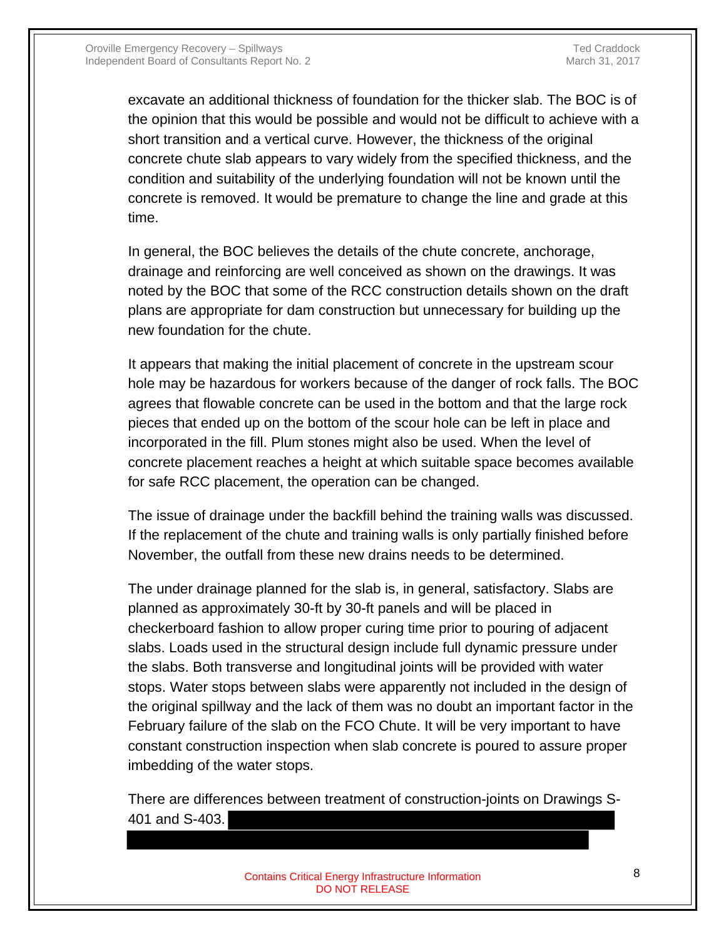excavate an additional thickness of foundation for the thicker slab. The BOC is of the opinion that this would be possible and would not be difficult to achieve with a short transition and a vertical curve. However, the thickness of the original concrete chute slab appears to vary widely from the specified thickness, and the condition and suitability of the underlying foundation will not be known until the concrete is removed. It would be premature to change the line and grade at this time.

In general, the BOC believes the details of the chute concrete, anchorage, drainage and reinforcing are well conceived as shown on the drawings. It was noted by the BOC that some of the RCC construction details shown on the draft plans are appropriate for dam construction but unnecessary for building up the new foundation for the chute.

It appears that making the initial placement of concrete in the upstream scour hole may be hazardous for workers because of the danger of rock falls. The BOC agrees that flowable concrete can be used in the bottom and that the large rock pieces that ended up on the bottom of the scour hole can be left in place and incorporated in the fill. Plum stones might also be used. When the level of concrete placement reaches a height at which suitable space becomes available for safe RCC placement, the operation can be changed.

The issue of drainage under the backfill behind the training walls was discussed. If the replacement of the chute and training walls is only partially finished before November, the outfall from these new drains needs to be determined.

The under drainage planned for the slab is, in general, satisfactory. Slabs are planned as approximately 30-ft by 30-ft panels and will be placed in checkerboard fashion to allow proper curing time prior to pouring of adjacent slabs. Loads used in the structural design include full dynamic pressure under the slabs. Both transverse and longitudinal joints will be provided with water stops. Water stops between slabs were apparently not included in the design of the original spillway and the lack of them was no doubt an important factor in the February failure of the slab on the FCO Chute. It will be very important to have constant construction inspection when slab concrete is poured to assure proper imbedding of the water stops.

There are differences between treatment of construction-joints on Drawings S-401 and S-403.

> Contains Critical Energy Infrastructure Information **8** 8 DO NOT RELEASE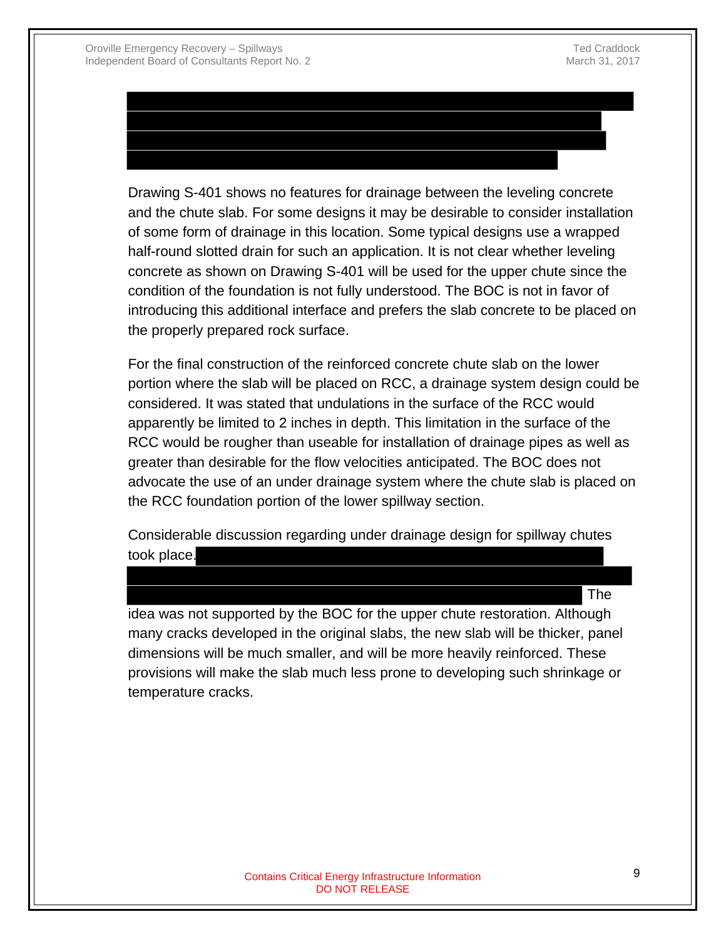# Drawing S-401 shows no features for drainage between the leveling concrete

and the chute slab. For some designs it may be desirable to consider installation of some form of drainage in this location. Some typical designs use a wrapped half-round slotted drain for such an application. It is not clear whether leveling concrete as shown on Drawing S-401 will be used for the upper chute since the condition of the foundation is not fully understood. The BOC is not in favor of introducing this additional interface and prefers the slab concrete to be placed on the properly prepared rock surface.

For the final construction of the reinforced concrete chute slab on the lower portion where the slab will be placed on RCC, a drainage system design could be considered. It was stated that undulations in the surface of the RCC would apparently be limited to 2 inches in depth. This limitation in the surface of the RCC would be rougher than useable for installation of drainage pipes as well as greater than desirable for the flow velocities anticipated. The BOC does not advocate the use of an under drainage system where the chute slab is placed on the RCC foundation portion of the lower spillway section.

Considerable discussion regarding under drainage design for spillway chutes took place.

The

idea was not supported by the BOC for the upper chute restoration. Although many cracks developed in the original slabs, the new slab will be thicker, panel dimensions will be much smaller, and will be more heavily reinforced. These provisions will make the slab much less prone to developing such shrinkage or temperature cracks.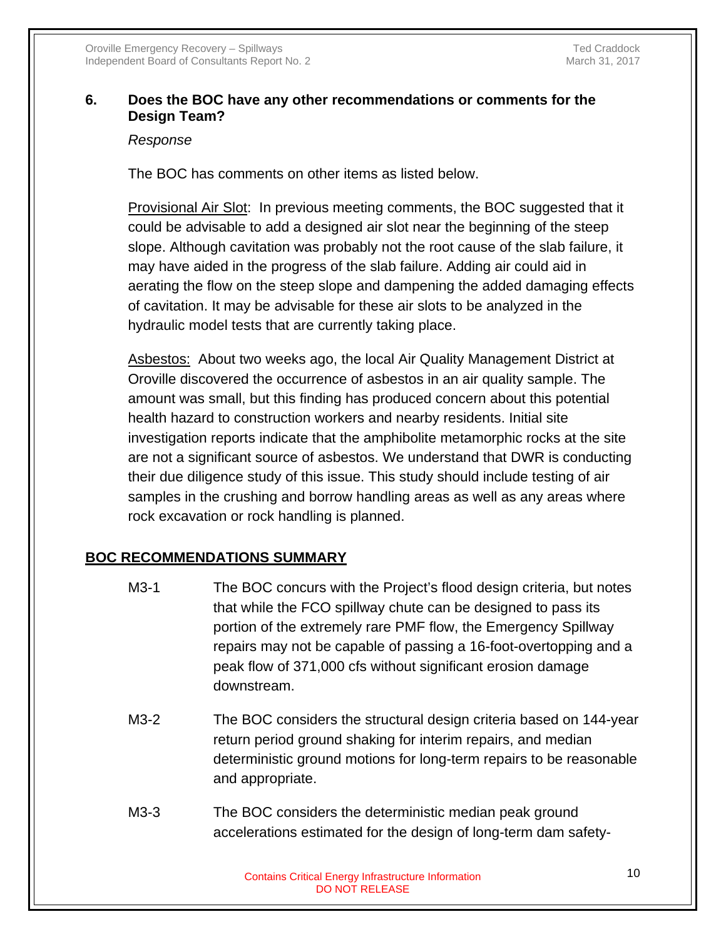#### **6. Does the BOC have any other recommendations or comments for the Design Team?**

#### *Response*

The BOC has comments on other items as listed below.

Provisional Air Slot: In previous meeting comments, the BOC suggested that it could be advisable to add a designed air slot near the beginning of the steep slope. Although cavitation was probably not the root cause of the slab failure, it may have aided in the progress of the slab failure. Adding air could aid in aerating the flow on the steep slope and dampening the added damaging effects of cavitation. It may be advisable for these air slots to be analyzed in the hydraulic model tests that are currently taking place.

Asbestos: About two weeks ago, the local Air Quality Management District at Oroville discovered the occurrence of asbestos in an air quality sample. The amount was small, but this finding has produced concern about this potential health hazard to construction workers and nearby residents. Initial site investigation reports indicate that the amphibolite metamorphic rocks at the site are not a significant source of asbestos. We understand that DWR is conducting their due diligence study of this issue. This study should include testing of air samples in the crushing and borrow handling areas as well as any areas where rock excavation or rock handling is planned.

# **BOC RECOMMENDATIONS SUMMARY**

- M3-1 The BOC concurs with the Project's flood design criteria, but notes that while the FCO spillway chute can be designed to pass its portion of the extremely rare PMF flow, the Emergency Spillway repairs may not be capable of passing a 16-foot-overtopping and a peak flow of 371,000 cfs without significant erosion damage downstream.
- M3-2 The BOC considers the structural design criteria based on 144-year return period ground shaking for interim repairs, and median deterministic ground motions for long-term repairs to be reasonable and appropriate.
- M3-3 The BOC considers the deterministic median peak ground accelerations estimated for the design of long-term dam safety-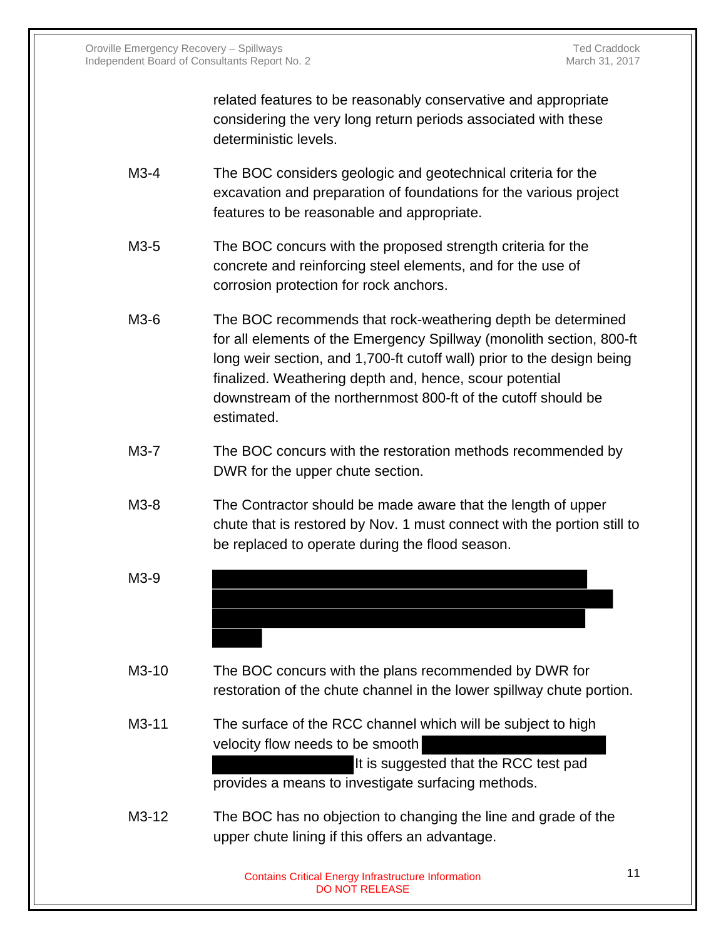related features to be reasonably conservative and appropriate considering the very long return periods associated with these deterministic levels.

- M3-4 The BOC considers geologic and geotechnical criteria for the excavation and preparation of foundations for the various project features to be reasonable and appropriate.
- M3-5 The BOC concurs with the proposed strength criteria for the concrete and reinforcing steel elements, and for the use of corrosion protection for rock anchors.
- M3-6 The BOC recommends that rock-weathering depth be determined for all elements of the Emergency Spillway (monolith section, 800-ft long weir section, and 1,700-ft cutoff wall) prior to the design being finalized. Weathering depth and, hence, scour potential downstream of the northernmost 800-ft of the cutoff should be estimated.
- M3-7 The BOC concurs with the restoration methods recommended by DWR for the upper chute section.
- M3-8 The Contractor should be made aware that the length of upper chute that is restored by Nov. 1 must connect with the portion still to be replaced to operate during the flood season.
- M3-9
- M3-10 The BOC concurs with the plans recommended by DWR for restoration of the chute channel in the lower spillway chute portion.
- M3-11 The surface of the RCC channel which will be subject to high velocity flow needs to be smooth It is suggested that the RCC test pad provides a means to investigate surfacing methods.
- M3-12 The BOC has no objection to changing the line and grade of the upper chute lining if this offers an advantage.